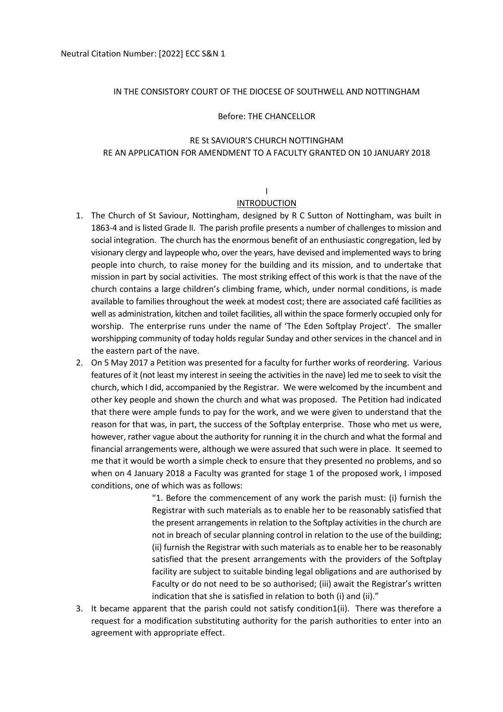#### IN THE CONSISTORY COURT OF THE DIOCESE OF SOUTHWELL AND NOTTINGHAM

#### Before: THE CHANCELLOR

## RE St SAVIOUR'S CHURCH NOTTINGHAM RE AN APPLICATION FOR AMENDMENT TO A FACULTY GRANTED ON 10 JANUARY 2018

# I

## INTRODUCTION

- 1. The Church of St Saviour, Nottingham, designed by R C Sutton of Nottingham, was built in 1863-4 and is listed Grade II. The parish profile presents a number of challenges to mission and social integration. The church has the enormous benefit of an enthusiastic congregation, led by visionary clergy and laypeople who, over the years, have devised and implemented ways to bring people into church, to raise money for the building and its mission, and to undertake that mission in part by social activities. The most striking effect of this work is that the nave of the church contains a large children's climbing frame, which, under normal conditions, is made available to families throughout the week at modest cost; there are associated café facilities as well as administration, kitchen and toilet facilities, all within the space formerly occupied only for worship. The enterprise runs under the name of 'The Eden Softplay Project'. The smaller worshipping community of today holds regular Sunday and other services in the chancel and in the eastern part of the nave.
- 2. On 5 May 2017 a Petition was presented for a faculty for further works of reordering. Various features of it (not least my interest in seeing the activities in the nave) led me to seek to visit the church, which I did, accompanied by the Registrar. We were welcomed by the incumbent and other key people and shown the church and what was proposed. The Petition had indicated that there were ample funds to pay for the work, and we were given to understand that the reason for that was, in part, the success of the Softplay enterprise. Those who met us were, however, rather vague about the authority for running it in the church and what the formal and financial arrangements were, although we were assured that such were in place. It seemed to me that it would be worth a simple check to ensure that they presented no problems, and so when on 4 January 2018 a Faculty was granted for stage 1 of the proposed work, I imposed conditions, one of which was as follows:

"1. Before the commencement of any work the parish must: (i) furnish the Registrar with such materials as to enable her to be reasonably satisfied that the present arrangements in relation to the Softplay activities in the church are not in breach of secular planning control in relation to the use of the building; (ii) furnish the Registrar with such materials as to enable her to be reasonably satisfied that the present arrangements with the providers of the Softplay facility are subject to suitable binding legal obligations and are authorised by Faculty or do not need to be so authorised; (iii) await the Registrar's written indication that she is satisfied in relation to both (i) and (ii)."

3. It became apparent that the parish could not satisfy condition1(ii). There was therefore a request for a modification substituting authority for the parish authorities to enter into an agreement with appropriate effect.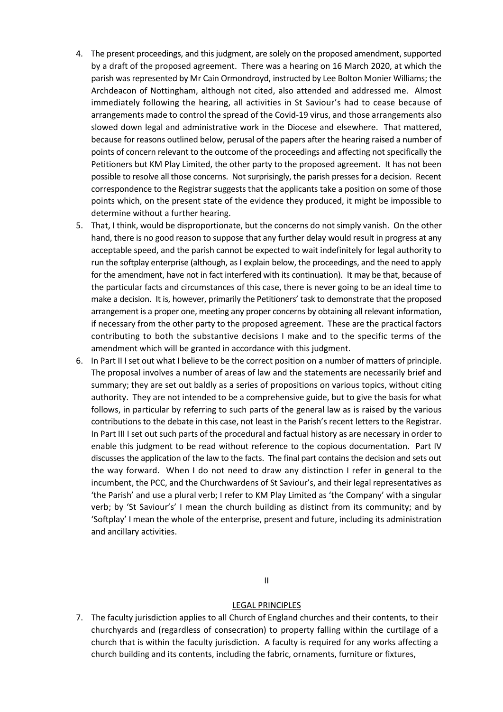- 4. The present proceedings, and this judgment, are solely on the proposed amendment, supported by a draft of the proposed agreement. There was a hearing on 16 March 2020, at which the parish was represented by Mr Cain Ormondroyd, instructed by Lee Bolton Monier Williams; the Archdeacon of Nottingham, although not cited, also attended and addressed me. Almost immediately following the hearing, all activities in St Saviour's had to cease because of arrangements made to control the spread of the Covid-19 virus, and those arrangements also slowed down legal and administrative work in the Diocese and elsewhere. That mattered, because for reasons outlined below, perusal of the papers after the hearing raised a number of points of concern relevant to the outcome of the proceedings and affecting not specifically the Petitioners but KM Play Limited, the other party to the proposed agreement. It has not been possible to resolve all those concerns. Not surprisingly, the parish presses for a decision. Recent correspondence to the Registrar suggests that the applicants take a position on some of those points which, on the present state of the evidence they produced, it might be impossible to determine without a further hearing.
- 5. That, I think, would be disproportionate, but the concerns do not simply vanish. On the other hand, there is no good reason to suppose that any further delay would result in progress at any acceptable speed, and the parish cannot be expected to wait indefinitely for legal authority to run the softplay enterprise (although, as I explain below, the proceedings, and the need to apply for the amendment, have not in fact interfered with its continuation). It may be that, because of the particular facts and circumstances of this case, there is never going to be an ideal time to make a decision. It is, however, primarily the Petitioners' task to demonstrate that the proposed arrangement is a proper one, meeting any proper concerns by obtaining all relevant information, if necessary from the other party to the proposed agreement. These are the practical factors contributing to both the substantive decisions I make and to the specific terms of the amendment which will be granted in accordance with this judgment.
- 6. In Part II I set out what I believe to be the correct position on a number of matters of principle. The proposal involves a number of areas of law and the statements are necessarily brief and summary; they are set out baldly as a series of propositions on various topics, without citing authority. They are not intended to be a comprehensive guide, but to give the basis for what follows, in particular by referring to such parts of the general law as is raised by the various contributions to the debate in this case, not least in the Parish's recent letters to the Registrar. In Part III I set out such parts of the procedural and factual history as are necessary in order to enable this judgment to be read without reference to the copious documentation. Part IV discusses the application of the law to the facts. The final part contains the decision and sets out the way forward. When I do not need to draw any distinction I refer in general to the incumbent, the PCC, and the Churchwardens of St Saviour's, and their legal representatives as 'the Parish' and use a plural verb; I refer to KM Play Limited as 'the Company' with a singular verb; by 'St Saviour's' I mean the church building as distinct from its community; and by 'Softplay' I mean the whole of the enterprise, present and future, including its administration and ancillary activities.

II

#### LEGAL PRINCIPLES

7. The faculty jurisdiction applies to all Church of England churches and their contents, to their churchyards and (regardless of consecration) to property falling within the curtilage of a church that is within the faculty jurisdiction. A faculty is required for any works affecting a church building and its contents, including the fabric, ornaments, furniture or fixtures,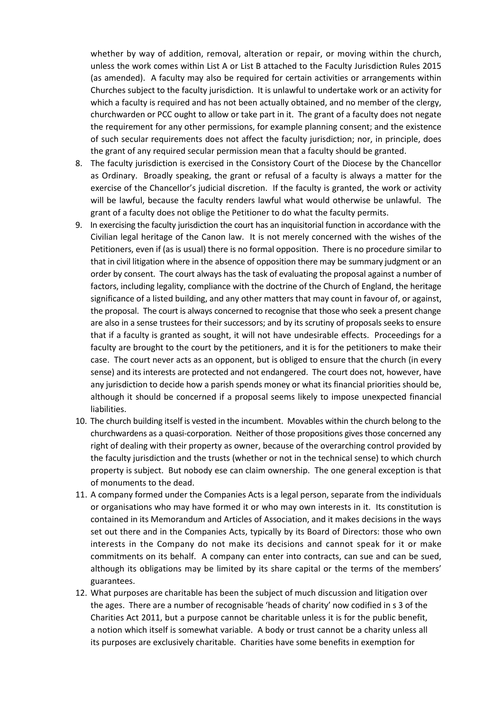whether by way of addition, removal, alteration or repair, or moving within the church, unless the work comes within List A or List B attached to the Faculty Jurisdiction Rules 2015 (as amended). A faculty may also be required for certain activities or arrangements within Churches subject to the faculty jurisdiction. It is unlawful to undertake work or an activity for which a faculty is required and has not been actually obtained, and no member of the clergy, churchwarden or PCC ought to allow or take part in it. The grant of a faculty does not negate the requirement for any other permissions, for example planning consent; and the existence of such secular requirements does not affect the faculty jurisdiction; nor, in principle, does the grant of any required secular permission mean that a faculty should be granted.

- 8. The faculty jurisdiction is exercised in the Consistory Court of the Diocese by the Chancellor as Ordinary. Broadly speaking, the grant or refusal of a faculty is always a matter for the exercise of the Chancellor's judicial discretion. If the faculty is granted, the work or activity will be lawful, because the faculty renders lawful what would otherwise be unlawful. The grant of a faculty does not oblige the Petitioner to do what the faculty permits.
- 9. In exercising the faculty jurisdiction the court has an inquisitorial function in accordance with the Civilian legal heritage of the Canon law. It is not merely concerned with the wishes of the Petitioners, even if (as is usual) there is no formal opposition. There is no procedure similar to that in civil litigation where in the absence of opposition there may be summary judgment or an order by consent. The court always has the task of evaluating the proposal against a number of factors, including legality, compliance with the doctrine of the Church of England, the heritage significance of a listed building, and any other matters that may count in favour of, or against, the proposal. The court is always concerned to recognise that those who seek a present change are also in a sense trustees for their successors; and by its scrutiny of proposals seeks to ensure that if a faculty is granted as sought, it will not have undesirable effects. Proceedings for a faculty are brought to the court by the petitioners, and it is for the petitioners to make their case. The court never acts as an opponent, but is obliged to ensure that the church (in every sense) and its interests are protected and not endangered. The court does not, however, have any jurisdiction to decide how a parish spends money or what its financial priorities should be, although it should be concerned if a proposal seems likely to impose unexpected financial liabilities.
- 10. The church building itself is vested in the incumbent. Movables within the church belong to the churchwardens as a quasi-corporation. Neither of those propositions gives those concerned any right of dealing with their property as owner, because of the overarching control provided by the faculty jurisdiction and the trusts (whether or not in the technical sense) to which church property is subject. But nobody ese can claim ownership. The one general exception is that of monuments to the dead.
- 11. A company formed under the Companies Acts is a legal person, separate from the individuals or organisations who may have formed it or who may own interests in it. Its constitution is contained in its Memorandum and Articles of Association, and it makes decisions in the ways set out there and in the Companies Acts, typically by its Board of Directors: those who own interests in the Company do not make its decisions and cannot speak for it or make commitments on its behalf. A company can enter into contracts, can sue and can be sued, although its obligations may be limited by its share capital or the terms of the members' guarantees.
- 12. What purposes are charitable has been the subject of much discussion and litigation over the ages. There are a number of recognisable 'heads of charity' now codified in s 3 of the Charities Act 2011, but a purpose cannot be charitable unless it is for the public benefit, a notion which itself is somewhat variable. A body or trust cannot be a charity unless all its purposes are exclusively charitable. Charities have some benefits in exemption for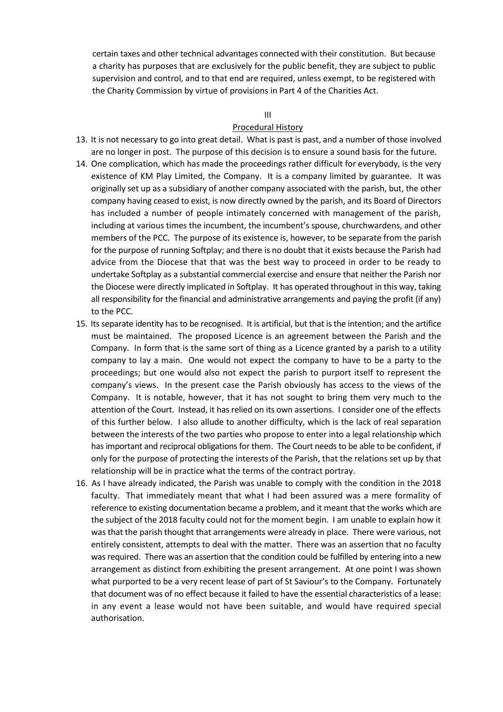certain taxes and other technical advantages connected with their constitution. But because a charity has purposes that are exclusively for the public benefit, they are subject to public supervision and control, and to that end are required, unless exempt, to be registered with the Charity Commission by virtue of provisions in Part 4 of the Charities Act.

#### III

### Procedural History

- 13. It is not necessary to go into great detail. What is past is past, and a number of those involved are no longer in post. The purpose of this decision is to ensure a sound basis for the future.
- 14. One complication, which has made the proceedings rather difficult for everybody, is the very existence of KM Play Limited, the Company. It is a company limited by guarantee. It was originally set up as a subsidiary of another company associated with the parish, but, the other company having ceased to exist, is now directly owned by the parish, and its Board of Directors has included a number of people intimately concerned with management of the parish, including at various times the incumbent, the incumbent's spouse, churchwardens, and other members of the PCC. The purpose of its existence is, however, to be separate from the parish for the purpose of running Softplay; and there is no doubt that it exists because the Parish had advice from the Diocese that that was the best way to proceed in order to be ready to undertake Softplay as a substantial commercial exercise and ensure that neither the Parish nor the Diocese were directly implicated in Softplay. It has operated throughout in this way, taking all responsibility for the financial and administrative arrangements and paying the profit (if any) to the PCC.
- 15. Its separate identity has to be recognised. It is artificial, but that is the intention; and the artifice must be maintained. The proposed Licence is an agreement between the Parish and the Company. In form that is the same sort of thing as a Licence granted by a parish to a utility company to lay a main. One would not expect the company to have to be a party to the proceedings; but one would also not expect the parish to purport itself to represent the company's views. In the present case the Parish obviously has access to the views of the Company. It is notable, however, that it has not sought to bring them very much to the attention of the Court. Instead, it has relied on its own assertions. I consider one of the effects of this further below. I also allude to another difficulty, which is the lack of real separation between the interests of the two parties who propose to enter into a legal relationship which has important and reciprocal obligations for them. The Court needs to be able to be confident, if only for the purpose of protecting the interests of the Parish, that the relations set up by that relationship will be in practice what the terms of the contract portray.
- 16. As I have already indicated, the Parish was unable to comply with the condition in the 2018 faculty. That immediately meant that what I had been assured was a mere formality of reference to existing documentation became a problem, and it meant that the works which are the subject of the 2018 faculty could not for the moment begin. I am unable to explain how it was that the parish thought that arrangements were already in place. There were various, not entirely consistent, attempts to deal with the matter. There was an assertion that no faculty was required. There was an assertion that the condition could be fulfilled by entering into a new arrangement as distinct from exhibiting the present arrangement. At one point I was shown what purported to be a very recent lease of part of St Saviour's to the Company. Fortunately that document was of no effect because it failed to have the essential characteristics of a lease: in any event a lease would not have been suitable, and would have required special authorisation.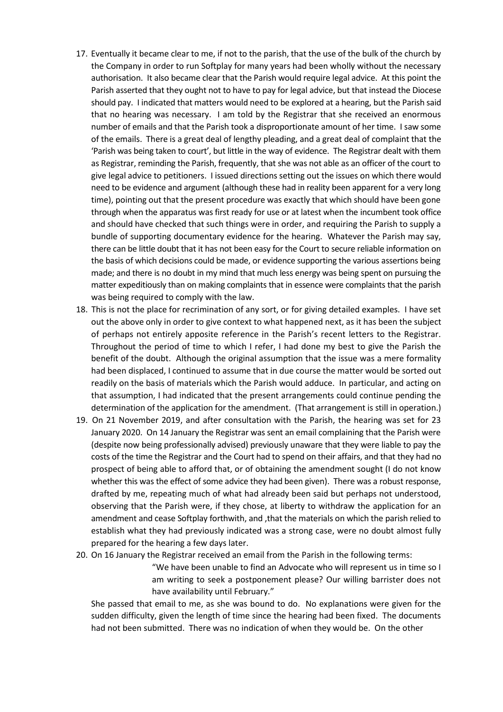- 17. Eventually it became clear to me, if not to the parish, that the use of the bulk of the church by the Company in order to run Softplay for many years had been wholly without the necessary authorisation. It also became clear that the Parish would require legal advice. At this point the Parish asserted that they ought not to have to pay for legal advice, but that instead the Diocese should pay. I indicated that matters would need to be explored at a hearing, but the Parish said that no hearing was necessary. I am told by the Registrar that she received an enormous number of emails and that the Parish took a disproportionate amount of her time. I saw some of the emails. There is a great deal of lengthy pleading, and a great deal of complaint that the 'Parish was being taken to court', but little in the way of evidence. The Registrar dealt with them as Registrar, reminding the Parish, frequently, that she was not able as an officer of the court to give legal advice to petitioners. I issued directions setting out the issues on which there would need to be evidence and argument (although these had in reality been apparent for a very long time), pointing out that the present procedure was exactly that which should have been gone through when the apparatus was first ready for use or at latest when the incumbent took office and should have checked that such things were in order, and requiring the Parish to supply a bundle of supporting documentary evidence for the hearing. Whatever the Parish may say, there can be little doubt that it has not been easy for the Court to secure reliable information on the basis of which decisions could be made, or evidence supporting the various assertions being made; and there is no doubt in my mind that much less energy was being spent on pursuing the matter expeditiously than on making complaints that in essence were complaints that the parish was being required to comply with the law.
- 18. This is not the place for recrimination of any sort, or for giving detailed examples. I have set out the above only in order to give context to what happened next, as it has been the subject of perhaps not entirely apposite reference in the Parish's recent letters to the Registrar. Throughout the period of time to which I refer, I had done my best to give the Parish the benefit of the doubt. Although the original assumption that the issue was a mere formality had been displaced, I continued to assume that in due course the matter would be sorted out readily on the basis of materials which the Parish would adduce. In particular, and acting on that assumption, I had indicated that the present arrangements could continue pending the determination of the application for the amendment. (That arrangement is still in operation.)
- 19. On 21 November 2019, and after consultation with the Parish, the hearing was set for 23 January 2020. On 14 January the Registrar was sent an email complaining that the Parish were (despite now being professionally advised) previously unaware that they were liable to pay the costs of the time the Registrar and the Court had to spend on their affairs, and that they had no prospect of being able to afford that, or of obtaining the amendment sought (I do not know whether this was the effect of some advice they had been given). There was a robust response, drafted by me, repeating much of what had already been said but perhaps not understood, observing that the Parish were, if they chose, at liberty to withdraw the application for an amendment and cease Softplay forthwith, and ,that the materials on which the parish relied to establish what they had previously indicated was a strong case, were no doubt almost fully prepared for the hearing a few days later.
- 20. On 16 January the Registrar received an email from the Parish in the following terms:

"We have been unable to find an Advocate who will represent us in time so I am writing to seek a postponement please? Our willing barrister does not have availability until February."

She passed that email to me, as she was bound to do. No explanations were given for the sudden difficulty, given the length of time since the hearing had been fixed. The documents had not been submitted. There was no indication of when they would be. On the other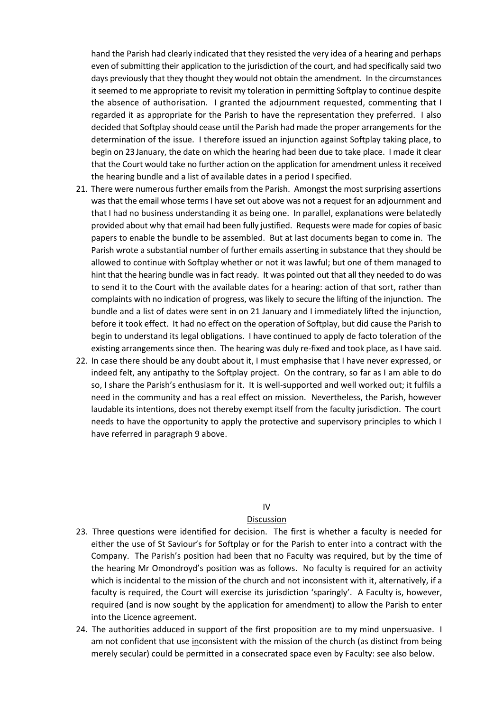hand the Parish had clearly indicated that they resisted the very idea of a hearing and perhaps even of submitting their application to the jurisdiction of the court, and had specifically said two days previously that they thought they would not obtain the amendment. In the circumstances it seemed to me appropriate to revisit my toleration in permitting Softplay to continue despite the absence of authorisation. I granted the adjournment requested, commenting that I regarded it as appropriate for the Parish to have the representation they preferred. I also decided that Softplay should cease until the Parish had made the proper arrangements for the determination of the issue. I therefore issued an injunction against Softplay taking place, to begin on 23 January, the date on which the hearing had been due to take place. I made it clear that the Court would take no further action on the application for amendment unless it received the hearing bundle and a list of available dates in a period I specified.

- 21. There were numerous further emails from the Parish. Amongst the most surprising assertions was that the email whose terms I have set out above was not a request for an adjournment and that I had no business understanding it as being one. In parallel, explanations were belatedly provided about why that email had been fully justified. Requests were made for copies of basic papers to enable the bundle to be assembled. But at last documents began to come in. The Parish wrote a substantial number of further emails asserting in substance that they should be allowed to continue with Softplay whether or not it was lawful; but one of them managed to hint that the hearing bundle was in fact ready. It was pointed out that all they needed to do was to send it to the Court with the available dates for a hearing: action of that sort, rather than complaints with no indication of progress, was likely to secure the lifting of the injunction. The bundle and a list of dates were sent in on 21 January and I immediately lifted the injunction, before it took effect. It had no effect on the operation of Softplay, but did cause the Parish to begin to understand its legal obligations. I have continued to apply de facto toleration of the existing arrangements since then. The hearing was duly re-fixed and took place, as I have said.
- 22. In case there should be any doubt about it, I must emphasise that I have never expressed, or indeed felt, any antipathy to the Softplay project. On the contrary, so far as I am able to do so, I share the Parish's enthusiasm for it. It is well-supported and well worked out; it fulfils a need in the community and has a real effect on mission. Nevertheless, the Parish, however laudable its intentions, does not thereby exempt itself from the faculty jurisdiction. The court needs to have the opportunity to apply the protective and supervisory principles to which I have referred in paragraph 9 above.

#### IV

#### Discussion

- 23. Three questions were identified for decision. The first is whether a faculty is needed for either the use of St Saviour's for Softplay or for the Parish to enter into a contract with the Company. The Parish's position had been that no Faculty was required, but by the time of the hearing Mr Omondroyd's position was as follows. No faculty is required for an activity which is incidental to the mission of the church and not inconsistent with it, alternatively, if a faculty is required, the Court will exercise its jurisdiction 'sparingly'. A Faculty is, however, required (and is now sought by the application for amendment) to allow the Parish to enter into the Licence agreement.
- 24. The authorities adduced in support of the first proposition are to my mind unpersuasive. I am not confident that use inconsistent with the mission of the church (as distinct from being merely secular) could be permitted in a consecrated space even by Faculty: see also below.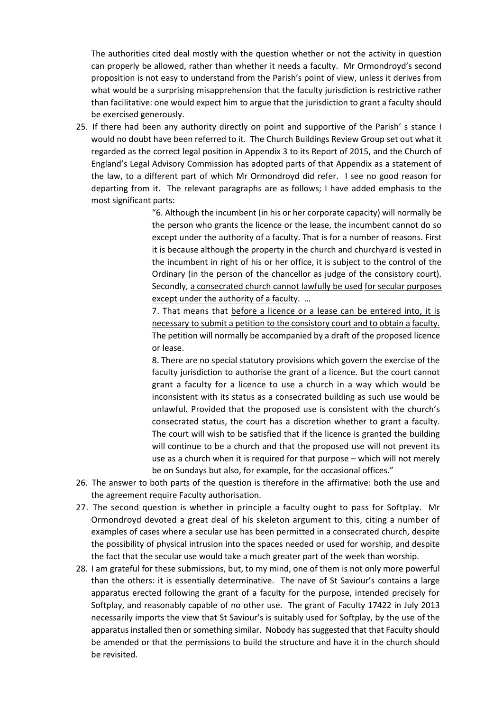The authorities cited deal mostly with the question whether or not the activity in question can properly be allowed, rather than whether it needs a faculty. Mr Ormondroyd's second proposition is not easy to understand from the Parish's point of view, unless it derives from what would be a surprising misapprehension that the faculty jurisdiction is restrictive rather than facilitative: one would expect him to argue that the jurisdiction to grant a faculty should be exercised generously.

25. If there had been any authority directly on point and supportive of the Parish' s stance I would no doubt have been referred to it. The Church Buildings Review Group set out what it regarded as the correct legal position in Appendix 3 to its Report of 2015, and the Church of England's Legal Advisory Commission has adopted parts of that Appendix as a statement of the law, to a different part of which Mr Ormondroyd did refer. I see no good reason for departing from it. The relevant paragraphs are as follows; I have added emphasis to the most significant parts:

> "6. Although the incumbent (in his or her corporate capacity) will normally be the person who grants the licence or the lease, the incumbent cannot do so except under the authority of a faculty. That is for a number of reasons. First it is because although the property in the church and churchyard is vested in the incumbent in right of his or her office, it is subject to the control of the Ordinary (in the person of the chancellor as judge of the consistory court). Secondly, a consecrated church cannot lawfully be used for secular purposes except under the authority of a faculty. …

> 7. That means that before a licence or a lease can be entered into, it is necessary to submit a petition to the consistory court and to obtain a faculty. The petition will normally be accompanied by a draft of the proposed licence or lease.

> 8. There are no special statutory provisions which govern the exercise of the faculty jurisdiction to authorise the grant of a licence. But the court cannot grant a faculty for a licence to use a church in a way which would be inconsistent with its status as a consecrated building as such use would be unlawful. Provided that the proposed use is consistent with the church's consecrated status, the court has a discretion whether to grant a faculty. The court will wish to be satisfied that if the licence is granted the building will continue to be a church and that the proposed use will not prevent its use as a church when it is required for that purpose – which will not merely be on Sundays but also, for example, for the occasional offices."

- 26. The answer to both parts of the question is therefore in the affirmative: both the use and the agreement require Faculty authorisation.
- 27. The second question is whether in principle a faculty ought to pass for Softplay. Mr Ormondroyd devoted a great deal of his skeleton argument to this, citing a number of examples of cases where a secular use has been permitted in a consecrated church, despite the possibility of physical intrusion into the spaces needed or used for worship, and despite the fact that the secular use would take a much greater part of the week than worship.
- 28. I am grateful for these submissions, but, to my mind, one of them is not only more powerful than the others: it is essentially determinative. The nave of St Saviour's contains a large apparatus erected following the grant of a faculty for the purpose, intended precisely for Softplay, and reasonably capable of no other use. The grant of Faculty 17422 in July 2013 necessarily imports the view that St Saviour's is suitably used for Softplay, by the use of the apparatus installed then or something similar. Nobody has suggested that that Faculty should be amended or that the permissions to build the structure and have it in the church should be revisited.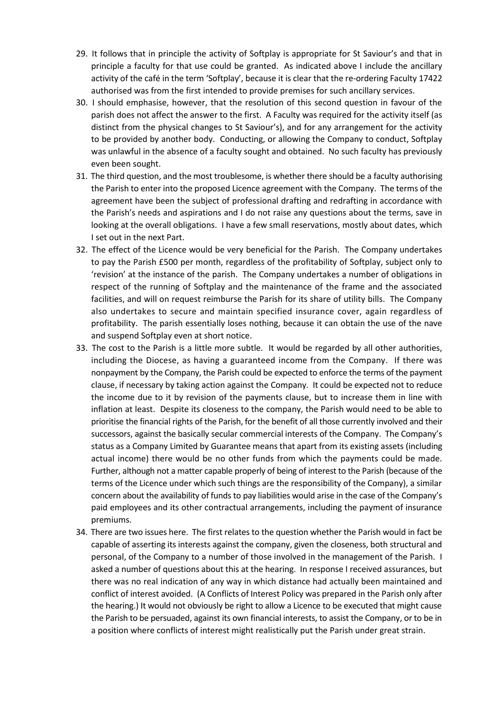- 29. It follows that in principle the activity of Softplay is appropriate for St Saviour's and that in principle a faculty for that use could be granted. As indicated above I include the ancillary activity of the café in the term 'Softplay', because it is clear that the re-ordering Faculty 17422 authorised was from the first intended to provide premises for such ancillary services.
- 30. I should emphasise, however, that the resolution of this second question in favour of the parish does not affect the answer to the first. A Faculty was required for the activity itself (as distinct from the physical changes to St Saviour's), and for any arrangement for the activity to be provided by another body. Conducting, or allowing the Company to conduct, Softplay was unlawful in the absence of a faculty sought and obtained. No such faculty has previously even been sought.
- 31. The third question, and the most troublesome, is whether there should be a faculty authorising the Parish to enter into the proposed Licence agreement with the Company. The terms of the agreement have been the subject of professional drafting and redrafting in accordance with the Parish's needs and aspirations and I do not raise any questions about the terms, save in looking at the overall obligations. I have a few small reservations, mostly about dates, which I set out in the next Part.
- 32. The effect of the Licence would be very beneficial for the Parish. The Company undertakes to pay the Parish £500 per month, regardless of the profitability of Softplay, subject only to 'revision' at the instance of the parish. The Company undertakes a number of obligations in respect of the running of Softplay and the maintenance of the frame and the associated facilities, and will on request reimburse the Parish for its share of utility bills. The Company also undertakes to secure and maintain specified insurance cover, again regardless of profitability. The parish essentially loses nothing, because it can obtain the use of the nave and suspend Softplay even at short notice.
- 33. The cost to the Parish is a little more subtle. It would be regarded by all other authorities, including the Diocese, as having a guaranteed income from the Company. If there was nonpayment by the Company, the Parish could be expected to enforce the terms of the payment clause, if necessary by taking action against the Company. It could be expected not to reduce the income due to it by revision of the payments clause, but to increase them in line with inflation at least. Despite its closeness to the company, the Parish would need to be able to prioritise the financial rights of the Parish, for the benefit of all those currently involved and their successors, against the basically secular commercial interests of the Company. The Company's status as a Company Limited by Guarantee means that apart from its existing assets (including actual income) there would be no other funds from which the payments could be made. Further, although not a matter capable properly of being of interest to the Parish (because of the terms of the Licence under which such things are the responsibility of the Company), a similar concern about the availability of funds to pay liabilities would arise in the case of the Company's paid employees and its other contractual arrangements, including the payment of insurance premiums.
- 34. There are two issues here. The first relates to the question whether the Parish would in fact be capable of asserting its interests against the company, given the closeness, both structural and personal, of the Company to a number of those involved in the management of the Parish. I asked a number of questions about this at the hearing. In response I received assurances, but there was no real indication of any way in which distance had actually been maintained and conflict of interest avoided. (A Conflicts of Interest Policy was prepared in the Parish only after the hearing.) It would not obviously be right to allow a Licence to be executed that might cause the Parish to be persuaded, against its own financial interests, to assist the Company, or to be in a position where conflicts of interest might realistically put the Parish under great strain.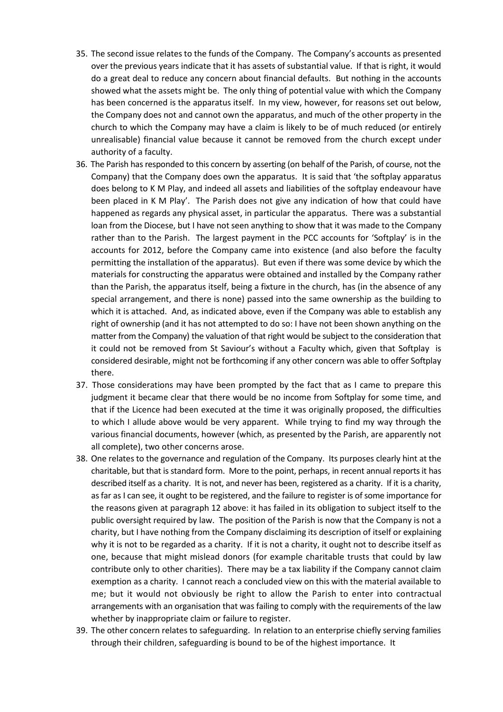- 35. The second issue relates to the funds of the Company. The Company's accounts as presented over the previous years indicate that it has assets of substantial value. If that is right, it would do a great deal to reduce any concern about financial defaults. But nothing in the accounts showed what the assets might be. The only thing of potential value with which the Company has been concerned is the apparatus itself. In my view, however, for reasons set out below, the Company does not and cannot own the apparatus, and much of the other property in the church to which the Company may have a claim is likely to be of much reduced (or entirely unrealisable) financial value because it cannot be removed from the church except under authority of a faculty.
- 36. The Parish has responded to this concern by asserting (on behalf of the Parish, of course, not the Company) that the Company does own the apparatus. It is said that 'the softplay apparatus does belong to K M Play, and indeed all assets and liabilities of the softplay endeavour have been placed in K M Play'. The Parish does not give any indication of how that could have happened as regards any physical asset, in particular the apparatus. There was a substantial loan from the Diocese, but I have not seen anything to show that it was made to the Company rather than to the Parish. The largest payment in the PCC accounts for 'Softplay' is in the accounts for 2012, before the Company came into existence (and also before the faculty permitting the installation of the apparatus). But even if there was some device by which the materials for constructing the apparatus were obtained and installed by the Company rather than the Parish, the apparatus itself, being a fixture in the church, has (in the absence of any special arrangement, and there is none) passed into the same ownership as the building to which it is attached. And, as indicated above, even if the Company was able to establish any right of ownership (and it has not attempted to do so: I have not been shown anything on the matter from the Company) the valuation of that right would be subject to the consideration that it could not be removed from St Saviour's without a Faculty which, given that Softplay is considered desirable, might not be forthcoming if any other concern was able to offer Softplay there.
- 37. Those considerations may have been prompted by the fact that as I came to prepare this judgment it became clear that there would be no income from Softplay for some time, and that if the Licence had been executed at the time it was originally proposed, the difficulties to which I allude above would be very apparent. While trying to find my way through the various financial documents, however (which, as presented by the Parish, are apparently not all complete), two other concerns arose.
- 38. One relates to the governance and regulation of the Company. Its purposes clearly hint at the charitable, but that is standard form. More to the point, perhaps, in recent annual reports it has described itself as a charity. It is not, and never has been, registered as a charity. If it is a charity, as far as I can see, it ought to be registered, and the failure to register is of some importance for the reasons given at paragraph 12 above: it has failed in its obligation to subject itself to the public oversight required by law. The position of the Parish is now that the Company is not a charity, but I have nothing from the Company disclaiming its description of itself or explaining why it is not to be regarded as a charity. If it is not a charity, it ought not to describe itself as one, because that might mislead donors (for example charitable trusts that could by law contribute only to other charities). There may be a tax liability if the Company cannot claim exemption as a charity. I cannot reach a concluded view on this with the material available to me; but it would not obviously be right to allow the Parish to enter into contractual arrangements with an organisation that was failing to comply with the requirements of the law whether by inappropriate claim or failure to register.
- 39. The other concern relates to safeguarding. In relation to an enterprise chiefly serving families through their children, safeguarding is bound to be of the highest importance. It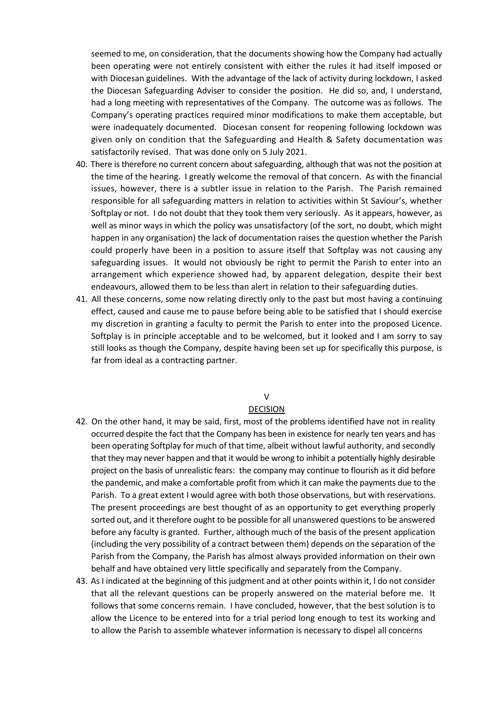seemed to me, on consideration, that the documents showing how the Company had actually been operating were not entirely consistent with either the rules it had itself imposed or with Diocesan guidelines. With the advantage of the lack of activity during lockdown, I asked the Diocesan Safeguarding Adviser to consider the position. He did so, and, I understand, had a long meeting with representatives of the Company. The outcome was as follows. The Company's operating practices required minor modifications to make them acceptable, but were inadequately documented. Diocesan consent for reopening following lockdown was given only on condition that the Safeguarding and Health & Safety documentation was satisfactorily revised. That was done only on 5 July 2021.

- 40. There is therefore no current concern about safeguarding, although that was not the position at the time of the hearing. I greatly welcome the removal of that concern. As with the financial issues, however, there is a subtler issue in relation to the Parish. The Parish remained responsible for all safeguarding matters in relation to activities within St Saviour's, whether Softplay or not. I do not doubt that they took them very seriously. As it appears, however, as well as minor ways in which the policy was unsatisfactory (of the sort, no doubt, which might happen in any organisation) the lack of documentation raises the question whether the Parish could properly have been in a position to assure itself that Softplay was not causing any safeguarding issues. It would not obviously be right to permit the Parish to enter into an arrangement which experience showed had, by apparent delegation, despite their best endeavours, allowed them to be less than alert in relation to their safeguarding duties.
- 41. All these concerns, some now relating directly only to the past but most having a continuing effect, caused and cause me to pause before being able to be satisfied that I should exercise my discretion in granting a faculty to permit the Parish to enter into the proposed Licence. Softplay is in principle acceptable and to be welcomed, but it looked and I am sorry to say still looks as though the Company, despite having been set up for specifically this purpose, is far from ideal as a contracting partner.

#### V

#### DECISION

- 42. On the other hand, it may be said, first, most of the problems identified have not in reality occurred despite the fact that the Company has been in existence for nearly ten years and has been operating Softplay for much of that time, albeit without lawful authority, and secondly that they may never happen and that it would be wrong to inhibit a potentially highly desirable project on the basis of unrealistic fears: the company may continue to flourish as it did before the pandemic, and make a comfortable profit from which it can make the payments due to the Parish. To a great extent I would agree with both those observations, but with reservations. The present proceedings are best thought of as an opportunity to get everything properly sorted out, and it therefore ought to be possible for all unanswered questions to be answered before any faculty is granted. Further, although much of the basis of the present application (including the very possibility of a contract between them) depends on the separation of the Parish from the Company, the Parish has almost always provided information on their own behalf and have obtained very little specifically and separately from the Company.
- 43. As I indicated at the beginning of this judgment and at other points within it, I do not consider that all the relevant questions can be properly answered on the material before me. It follows that some concerns remain. I have concluded, however, that the best solution is to allow the Licence to be entered into for a trial period long enough to test its working and to allow the Parish to assemble whatever information is necessary to dispel all concerns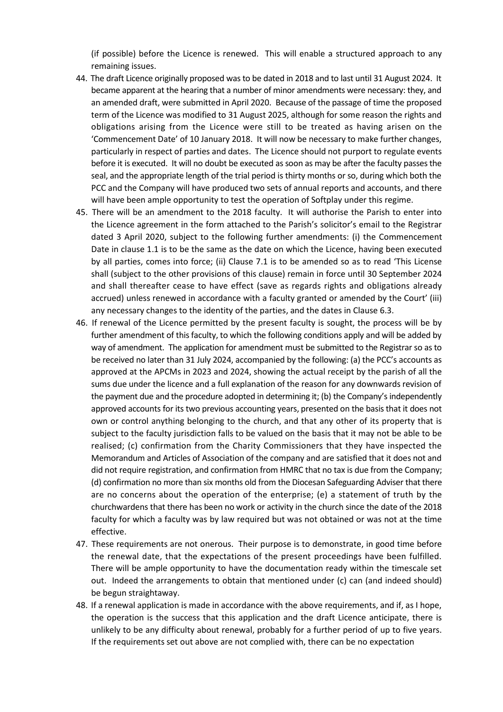(if possible) before the Licence is renewed. This will enable a structured approach to any remaining issues.

- 44. The draft Licence originally proposed was to be dated in 2018 and to last until 31 August 2024. It became apparent at the hearing that a number of minor amendments were necessary: they, and an amended draft, were submitted in April 2020. Because of the passage of time the proposed term of the Licence was modified to 31 August 2025, although for some reason the rights and obligations arising from the Licence were still to be treated as having arisen on the 'Commencement Date' of 10 January 2018. It will now be necessary to make further changes, particularly in respect of parties and dates. The Licence should not purport to regulate events before it is executed. It will no doubt be executed as soon as may be after the faculty passes the seal, and the appropriate length of the trial period is thirty months or so, during which both the PCC and the Company will have produced two sets of annual reports and accounts, and there will have been ample opportunity to test the operation of Softplay under this regime.
- 45. There will be an amendment to the 2018 faculty. It will authorise the Parish to enter into the Licence agreement in the form attached to the Parish's solicitor's email to the Registrar dated 3 April 2020, subject to the following further amendments: (i) the Commencement Date in clause 1.1 is to be the same as the date on which the Licence, having been executed by all parties, comes into force; (ii) Clause 7.1 is to be amended so as to read 'This License shall (subject to the other provisions of this clause) remain in force until 30 September 2024 and shall thereafter cease to have effect (save as regards rights and obligations already accrued) unless renewed in accordance with a faculty granted or amended by the Court' (iii) any necessary changes to the identity of the parties, and the dates in Clause 6.3.
- 46. If renewal of the Licence permitted by the present faculty is sought, the process will be by further amendment of this faculty, to which the following conditions apply and will be added by way of amendment. The application for amendment must be submitted to the Registrar so as to be received no later than 31 July 2024, accompanied by the following: (a) the PCC's accounts as approved at the APCMs in 2023 and 2024, showing the actual receipt by the parish of all the sums due under the licence and a full explanation of the reason for any downwards revision of the payment due and the procedure adopted in determining it; (b) the Company's independently approved accounts for its two previous accounting years, presented on the basis that it does not own or control anything belonging to the church, and that any other of its property that is subject to the faculty jurisdiction falls to be valued on the basis that it may not be able to be realised; (c) confirmation from the Charity Commissioners that they have inspected the Memorandum and Articles of Association of the company and are satisfied that it does not and did not require registration, and confirmation from HMRC that no tax is due from the Company; (d) confirmation no more than six months old from the Diocesan Safeguarding Adviser that there are no concerns about the operation of the enterprise; (e) a statement of truth by the churchwardens that there has been no work or activity in the church since the date of the 2018 faculty for which a faculty was by law required but was not obtained or was not at the time effective.
- 47. These requirements are not onerous. Their purpose is to demonstrate, in good time before the renewal date, that the expectations of the present proceedings have been fulfilled. There will be ample opportunity to have the documentation ready within the timescale set out. Indeed the arrangements to obtain that mentioned under (c) can (and indeed should) be begun straightaway.
- 48. If a renewal application is made in accordance with the above requirements, and if, as I hope, the operation is the success that this application and the draft Licence anticipate, there is unlikely to be any difficulty about renewal, probably for a further period of up to five years. If the requirements set out above are not complied with, there can be no expectation